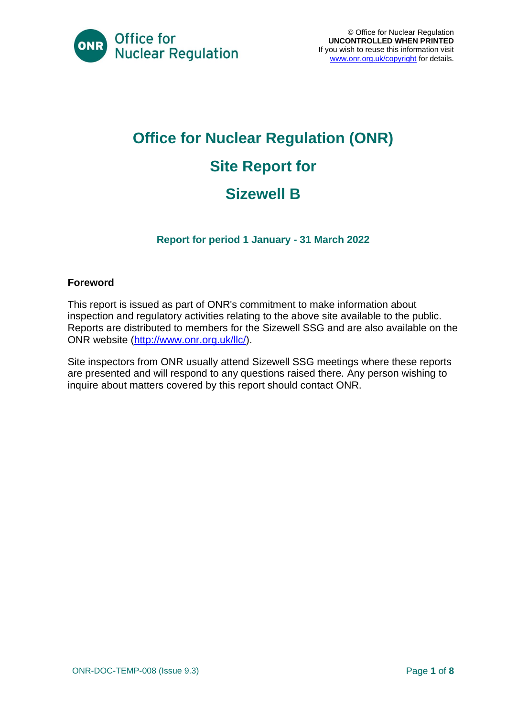

# **Office for Nuclear Regulation (ONR) Site Report for Sizewell B**

**Report for period 1 January - 31 March 2022**

#### **Foreword**

This report is issued as part of ONR's commitment to make information about inspection and regulatory activities relating to the above site available to the public. Reports are distributed to members for the Sizewell SSG and are also available on the ONR website [\(http://www.onr.org.uk/llc/\)](http://www.onr.org.uk/llc/).

Site inspectors from ONR usually attend Sizewell SSG meetings where these reports are presented and will respond to any questions raised there. Any person wishing to inquire about matters covered by this report should contact ONR.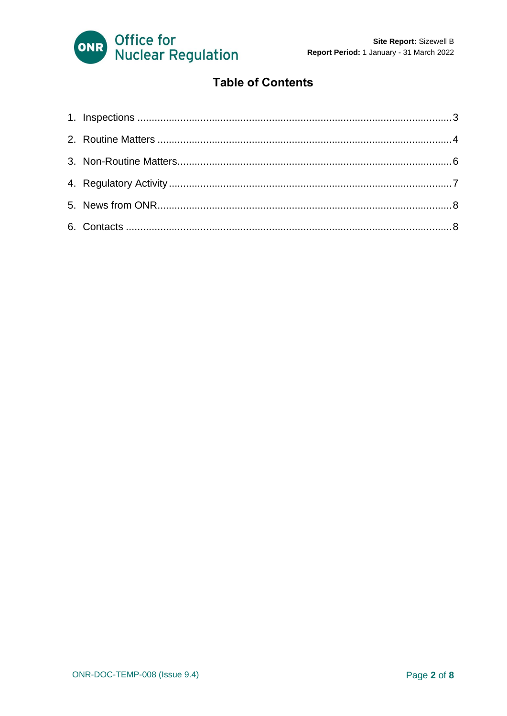

#### **Table of Contents**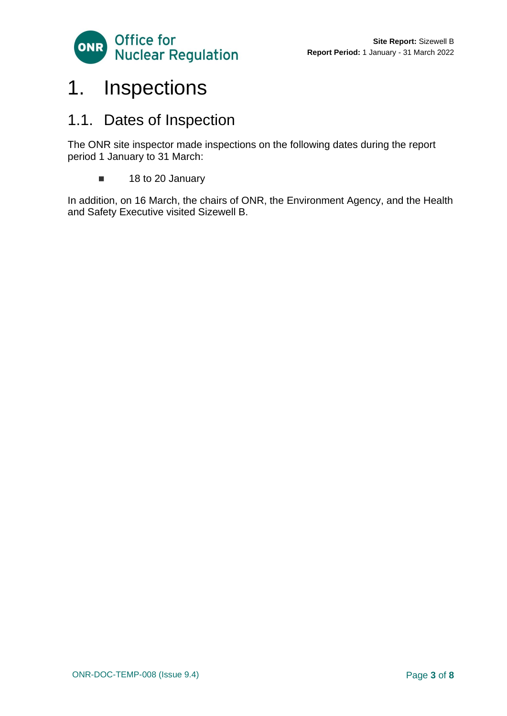

### <span id="page-2-0"></span>1. Inspections

### 1.1. Dates of Inspection

The ONR site inspector made inspections on the following dates during the report period 1 January to 31 March:

■ 18 to 20 January

In addition, on 16 March, the chairs of ONR, the Environment Agency, and the Health and Safety Executive visited Sizewell B.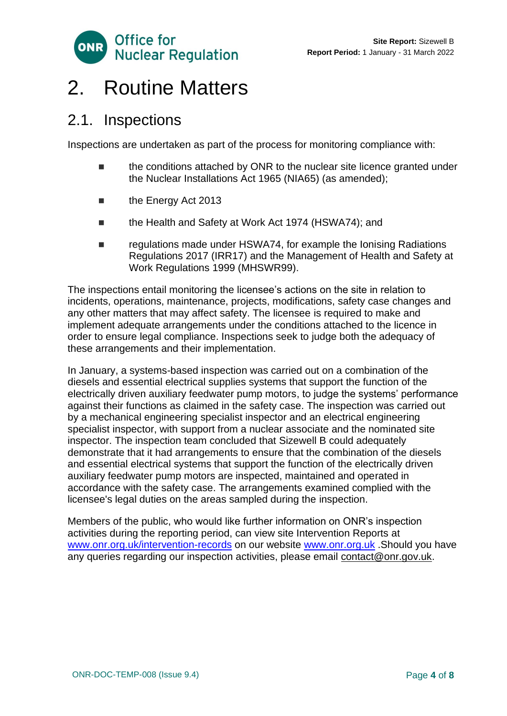

### <span id="page-3-0"></span>2. Routine Matters

#### 2.1. Inspections

Inspections are undertaken as part of the process for monitoring compliance with:

- the conditions attached by ONR to the nuclear site licence granted under the Nuclear Installations Act 1965 (NIA65) (as amended);
- the Energy Act 2013
- the Health and Safety at Work Act 1974 (HSWA74); and
- regulations made under HSWA74, for example the Ionising Radiations Regulations 2017 (IRR17) and the Management of Health and Safety at Work Regulations 1999 (MHSWR99).

The inspections entail monitoring the licensee's actions on the site in relation to incidents, operations, maintenance, projects, modifications, safety case changes and any other matters that may affect safety. The licensee is required to make and implement adequate arrangements under the conditions attached to the licence in order to ensure legal compliance. Inspections seek to judge both the adequacy of these arrangements and their implementation.

In January, a systems-based inspection was carried out on a combination of the diesels and essential electrical supplies systems that support the function of the electrically driven auxiliary feedwater pump motors, to judge the systems' performance against their functions as claimed in the safety case. The inspection was carried out by a mechanical engineering specialist inspector and an electrical engineering specialist inspector, with support from a nuclear associate and the nominated site inspector. The inspection team concluded that Sizewell B could adequately demonstrate that it had arrangements to ensure that the combination of the diesels and essential electrical systems that support the function of the electrically driven auxiliary feedwater pump motors are inspected, maintained and operated in accordance with the safety case. The arrangements examined complied with the licensee's legal duties on the areas sampled during the inspection.

Members of the public, who would like further information on ONR's inspection activities during the reporting period, can view site Intervention Reports at [www.onr.org.uk/intervention-records](http://www.onr.org.uk./intervention-records) on our website [www.onr.org.uk](http://www.onr.org.uk/) .Should you have any queries regarding our inspection activities, please email [contact@onr.gov.uk.](mailto:contact@onr.gov.uk)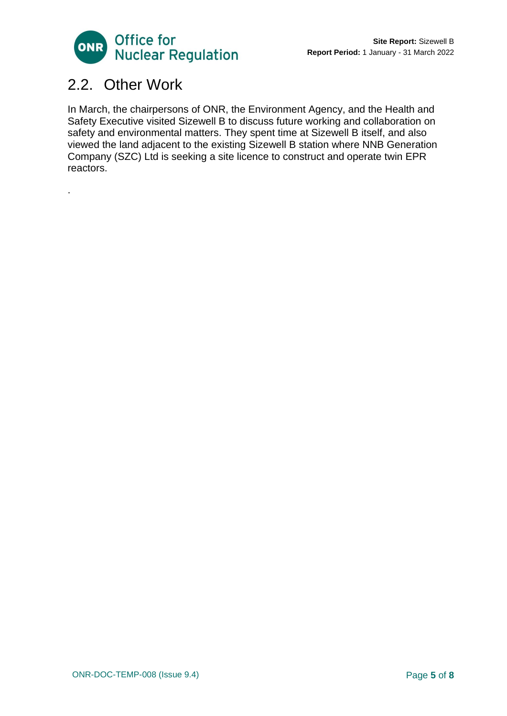

### 2.2. Other Work

.

In March, the chairpersons of ONR, the Environment Agency, and the Health and Safety Executive visited Sizewell B to discuss future working and collaboration on safety and environmental matters. They spent time at Sizewell B itself, and also viewed the land adjacent to the existing Sizewell B station where NNB Generation Company (SZC) Ltd is seeking a site licence to construct and operate twin EPR reactors.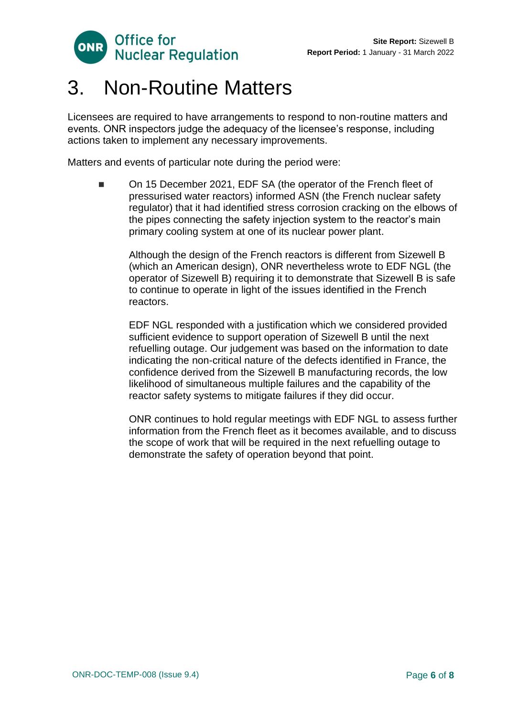



### <span id="page-5-0"></span>3. Non-Routine Matters

Licensees are required to have arrangements to respond to non-routine matters and events. ONR inspectors judge the adequacy of the licensee's response, including actions taken to implement any necessary improvements.

Matters and events of particular note during the period were:

On 15 December 2021, EDF SA (the operator of the French fleet of pressurised water reactors) informed ASN (the French nuclear safety regulator) that it had identified stress corrosion cracking on the elbows of the pipes connecting the safety injection system to the reactor's main primary cooling system at one of its nuclear power plant.

Although the design of the French reactors is different from Sizewell B (which an American design), ONR nevertheless wrote to EDF NGL (the operator of Sizewell B) requiring it to demonstrate that Sizewell B is safe to continue to operate in light of the issues identified in the French reactors.

EDF NGL responded with a justification which we considered provided sufficient evidence to support operation of Sizewell B until the next refuelling outage. Our judgement was based on the information to date indicating the non-critical nature of the defects identified in France, the confidence derived from the Sizewell B manufacturing records, the low likelihood of simultaneous multiple failures and the capability of the reactor safety systems to mitigate failures if they did occur.

ONR continues to hold regular meetings with EDF NGL to assess further information from the French fleet as it becomes available, and to discuss the scope of work that will be required in the next refuelling outage to demonstrate the safety of operation beyond that point.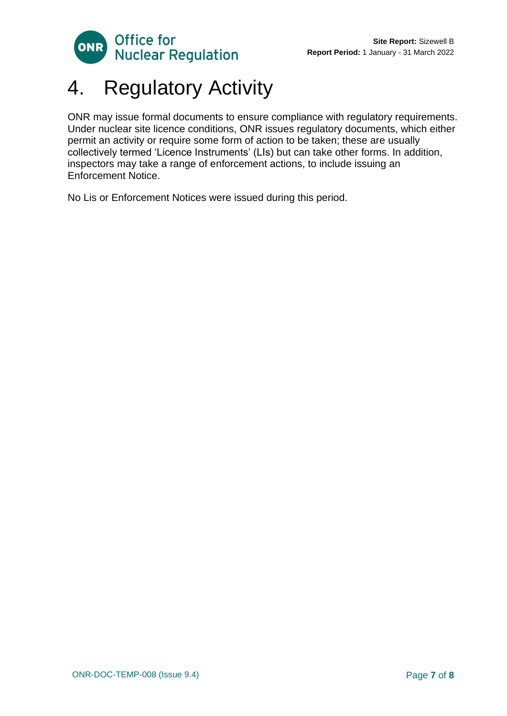

## <span id="page-6-0"></span>4. Regulatory Activity

ONR may issue formal documents to ensure compliance with regulatory requirements. Under nuclear site licence conditions, ONR issues regulatory documents, which either permit an activity or require some form of action to be taken; these are usually collectively termed 'Licence Instruments' (LIs) but can take other forms. In addition, inspectors may take a range of enforcement actions, to include issuing an Enforcement Notice.

No Lis or Enforcement Notices were issued during this period.